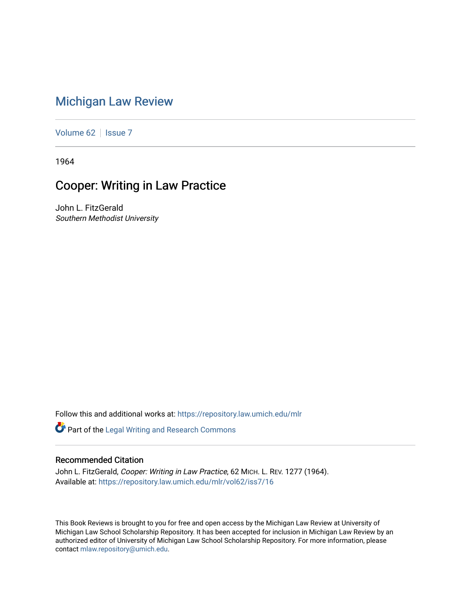## [Michigan Law Review](https://repository.law.umich.edu/mlr)

[Volume 62](https://repository.law.umich.edu/mlr/vol62) | [Issue 7](https://repository.law.umich.edu/mlr/vol62/iss7)

1964

## Cooper: Writing in Law Practice

John L. FitzGerald Southern Methodist University

Follow this and additional works at: [https://repository.law.umich.edu/mlr](https://repository.law.umich.edu/mlr?utm_source=repository.law.umich.edu%2Fmlr%2Fvol62%2Fiss7%2F16&utm_medium=PDF&utm_campaign=PDFCoverPages) 

Part of the [Legal Writing and Research Commons](http://network.bepress.com/hgg/discipline/614?utm_source=repository.law.umich.edu%2Fmlr%2Fvol62%2Fiss7%2F16&utm_medium=PDF&utm_campaign=PDFCoverPages) 

## Recommended Citation

John L. FitzGerald, Cooper: Writing in Law Practice, 62 MICH. L. REV. 1277 (1964). Available at: [https://repository.law.umich.edu/mlr/vol62/iss7/16](https://repository.law.umich.edu/mlr/vol62/iss7/16?utm_source=repository.law.umich.edu%2Fmlr%2Fvol62%2Fiss7%2F16&utm_medium=PDF&utm_campaign=PDFCoverPages) 

This Book Reviews is brought to you for free and open access by the Michigan Law Review at University of Michigan Law School Scholarship Repository. It has been accepted for inclusion in Michigan Law Review by an authorized editor of University of Michigan Law School Scholarship Repository. For more information, please contact [mlaw.repository@umich.edu](mailto:mlaw.repository@umich.edu).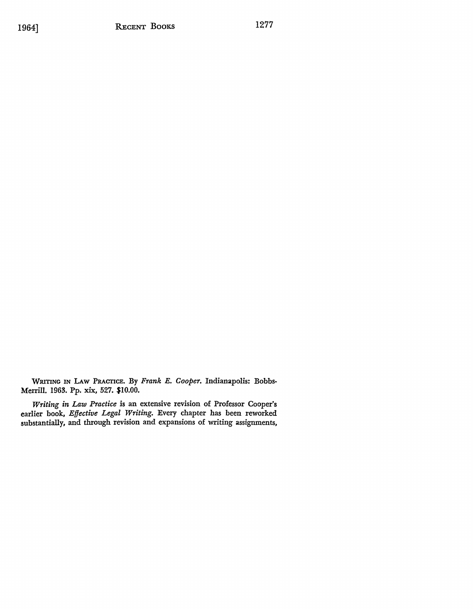WRITING IN LAw PRACTICE. By *Frank E. Cooper.* Indianapolis: Bobbs-Merrill. 1963. Pp. xix, 527. \$10.00.

*Writing in Law Practice* is an extensive revision of Professor Cooper's earlier book, *Effective Legal Writing.* Every chapter has been reworked substantially, and through revision and expansions of writing assignments,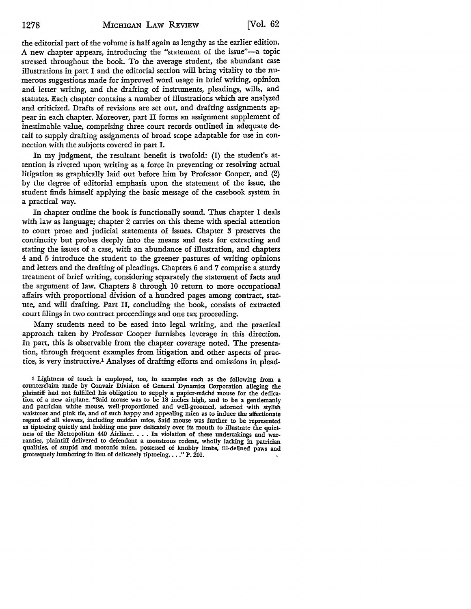the editorial part of the volume is half again as lengthy as the earlier edition. A new chapter appears, introducing the "statement of the issue"-a topic stressed throughout the hook. To the average student, the abundant case illustrations in part I and the editorial section will bring vitality to the numerous suggestions made for improved word usage in brief writing, opinion and letter writing, and the drafting of instruments, pleadings, wills, and statutes. Each chapter contains a number of illustrations which are analyzed and criticized. Drafts of revisions are set out, and drafting assignments appear in each chapter. Moreover, part II forms an assignment supplement of inestimable value, comprising three court records outlined in adequate detail to supply drafting assignments of broad scope adaptable for use in connection with the subjects covered in part I.

In my judgment, the resultant benefit is twofold: (I) the student's attention is riveted upon writing as a force in preventing or resolving actual litigation as graphically laid out before him by Professor Cooper, and (2) by the degree of editorial emphasis upon the statement of the issue, the student finds himself applying the basic message of the casebook system in a practical way.

In chapter outline the book is functionally sound. Thus chapter 1 deals with law as language; chapter 2 carries on this theme with special attention to court prose and judicial statements of issues. Chapter 3 preserves the continuity but probes deeply into the means and tests for extracting and stating the issues of a case, with an abundance of illustration, and chapters 4 and 5 introduce the student to the greener pastures of writing opinions and letters and the drafting of pleadings. Chapters 6 and 7 comprise a sturdy treatment of brief writing, considering separately the statement of facts and the argument of law. Chapters 8 through 10 return to more occupational affairs with proportional division of a hundred pages among contract, **stat**ute, and will drafting. Part II, concluding the book, consists of extracted court filings in two contract proceedings and one tax proceeding.

Many students need to be eased into legal writing, and the practical approach taken by Professor Cooper furnishes leverage in this direction. In part, this *is* observable from the chapter coverage noted. The presentation, through frequent examples from litigation and other aspects of practice, is very instructive.1 Analyses of drafting efforts and omissions in plead-

<sup>1</sup> Lightness of touch is employed, too, in examples such as the following from a counterclaim made by Convair Division of General Dynamics Corporation alleging the plaintiff had not fulfilled his obligation to supply a papier-mache mouse for the dedication of a new airplane. "Said mouse was to be 18 inches high, and to be a gentlemanly and patrician white mouse, well-proportioned and well-groomed, adorned with stylish waistcoat and pink tie, and of such happy and appealing mien as to induce the affectionate regard of all viewers, including maiden mice. Said mouse was further to be represented as tiptoeing quietly and holding one paw delicately over its mouth to illustrate the quietness of the Metropolitan 440 Airliner. . . . In violation of these undertakings and warranties, plaintiff delivered to defendant a monstrous rodent, wholly lacking in patrician qualities, of stupid and moronic mien, possessed of knobby limbs, ill-defined paws and grotesquely lumbering in lieu of delicately tiptoeing. . . ." P. 201.